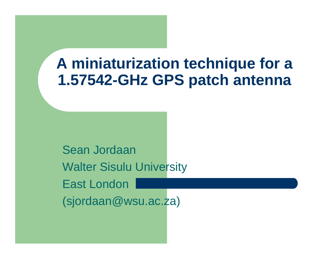#### **A miniaturization technique for a 1.57542-GHz GPS patch antenna**

Sean JordaanWalter Sisulu UniversityEast London (sjordaan@wsu.ac.za)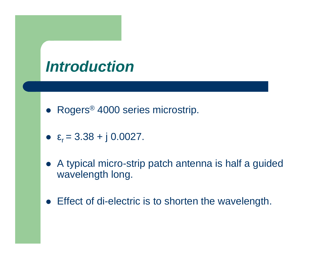#### **Introduction**

- Rogers<sup>®</sup> 4000 series microstrip.
- $\epsilon_r = 3.38 + j \, 0.0027$ .
- <sup>A</sup> typical micro-strip patch antenna is half a guided wavelength long.
- Effect of di-electric is to shorten the wavelength.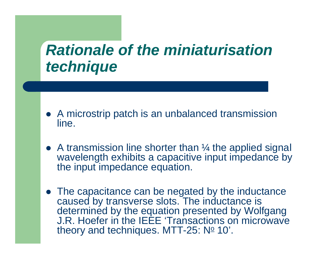#### **Rationale of the miniaturisationtechnique**

- A microstrip patch is an unbalanced transmission line.
- A transmission line shorter than 1/4 the applied signal wavelength exhibits a capacitive input impedance bythe input impedance equation.
- The capacitance can be negated by the inductance caused by transverse slots. The inductance is determined by the equation presented by Wolfgang J.R. Hoefer in the IEEE 'Transactions on microwave theory and techniques. MTT-25:  $N<sup>o</sup>$  10'.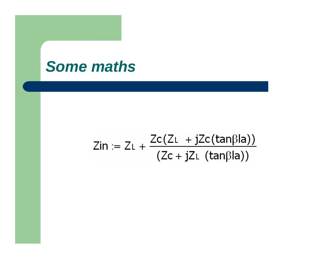#### **Some maths**

# Zin := ZL +  $\frac{Zc(ZL + jZc(tan\beta la))}{(Zc + jZL (tan\beta la))}$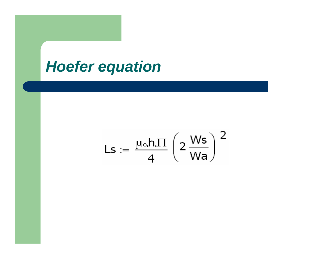### **Hoefer equation**

$$
\text{Ls} := \frac{\mu_\circ h.\Pi}{4}\left(2\,\frac{\text{Ws}}{\text{Wa}}\right)^2
$$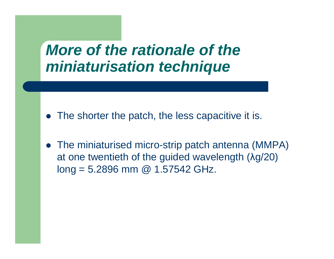#### **More of the rationale of the miniaturisation technique**

- The shorter the patch, the less capacitive it is.
- The miniaturised micro-strip patch antenna (MMPA) at one twentieth of the guided wavelength (λg/20)  $long = 5.2896$  mm @ 1.57542 GHz.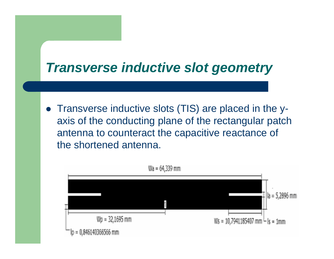#### **Transverse inductive slot geometry**

• Transverse inductive slots (TIS) are placed in the y axis of the conducting plane of the rectangular patch antenna to counteract the capacitive reactance of the shortened antenna.

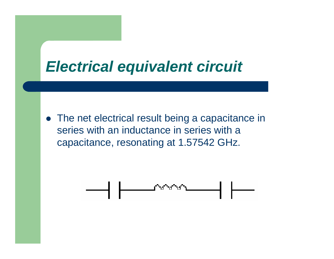

• The net electrical result being a capacitance in series with an inductance in series with a capacitance, resonating at 1.57542 GHz.

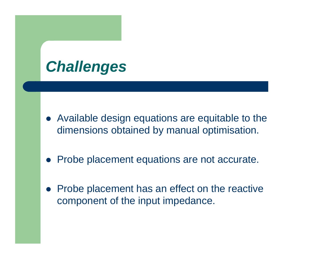### **Challenges**

- Available design equations are equitable to the dimensions obtained by manual optimisation.
- Probe placement equations are not accurate.
- $\bullet$  Probe placement has an effect on the reactive component of the input impedance.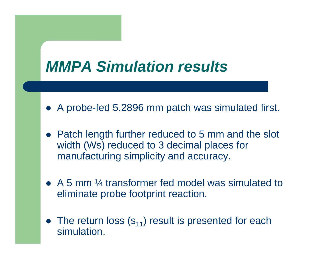

- A probe-fed 5.2896 mm patch was simulated first.
- Patch length further reduced to 5 mm and the slot width (Ws) reduced to 3 decimal places for manufacturing simplicity and accuracy.
- A 5 mm 1/4 transformer fed model was simulated to eliminate probe footprint reaction.
- The return loss  $(s_{11})$  result is presented for each simulation.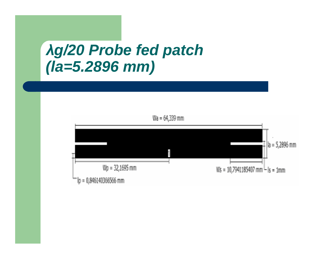#### λ**g/20 Probe fed patch (la=5.2896 mm)**

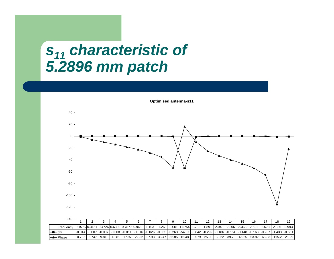#### **s11 characteristic of 5.2896 mm patch**



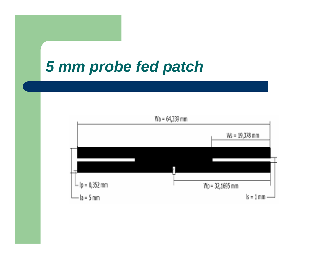#### **5 mm probe fed patch**

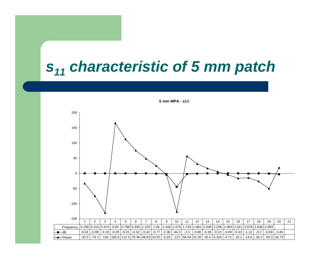# **s11 characteristic of 5 mm patch**

**5 mm MPA - s11**

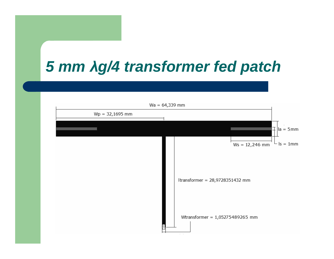## **5 mm** λ**g/4 transformer fed patch**

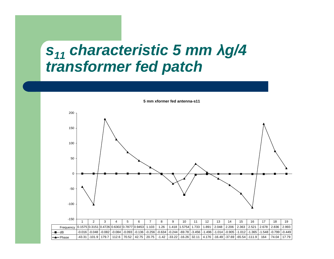#### **s11 characteristic 5 mm** λ**g/4 transformer fed patch**



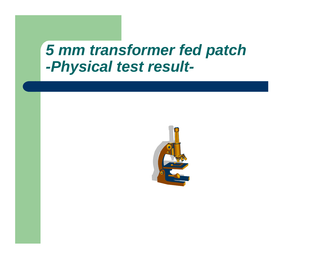#### **5 mm transformer fed patch -Physical test result-**